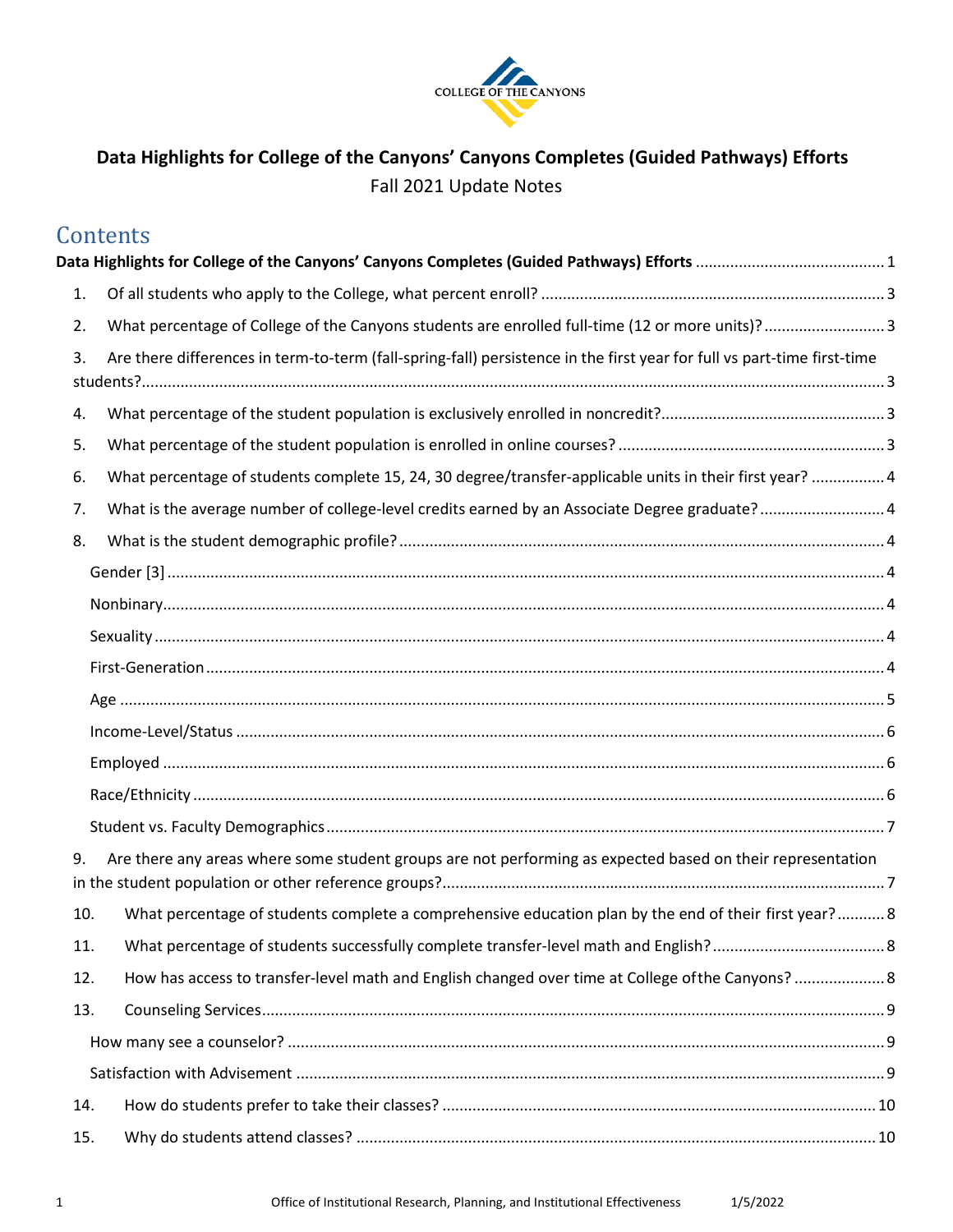

# <span id="page-0-0"></span>**Data Highlights for College of the Canyons' Canyons Completes (Guided Pathways) Efforts**  Fall 2021 Update Notes

# **[Data Highlights for College of the Canyons' Canyons Completes \(Guided Pathways\) Efforts](#page-0-0)** ............................................ 1 [1. Of all students who apply to the College, what percent enroll? ................................................................................ 3](#page-2-0)  [2. What percentage of College of the Canyons students are enrolled full-time \(12 or more units\)? ............................ 3](#page-2-1)   $3.$  [students?............................................................................................................................................................................. 3](#page-2-2)  [4. What percentage of the student population is exclusively enrolled in noncredit?.................................................... 3](#page-2-3)  [5. What percentage of the student population is enrolled in online courses? .............................................................. 3](#page-2-4)  [6. What percentage of students complete 15, 24, 30 degree/transfer-applicable units in their first year? ................. 4](#page-3-0)  7. What is the average number of college-level credits earned by an Associate Degree graduate?........................... 4 [8. What is the student demographic profile? ................................................................................................................. 4](#page-3-2)  [Gender \[3\] ....................................................................................................................................................................... 4](#page-3-3)  [Nonbinary........................................................................................................................................................................ 4](#page-3-4)  [Sexuality.......................................................................................................................................................................... 4](#page-3-5)  [First-Generation.............................................................................................................................................................. 4](#page-3-6)  [Age .................................................................................................................................................................................. 5](#page-4-0)  [Income-Level/Status ....................................................................................................................................................... 6](#page-5-0)  [Employed ........................................................................................................................................................................ 6](#page-5-1)  [Race/Ethnicity ................................................................................................................................................................. 6](#page-5-2)  [Student vs. Faculty Demographics..................................................................................................................................](#page-6-0) 7 [9. Are there any areas where some student groups are not performing as expected based on their representation](#page-6-1)  [in the student population or other reference groups?....................................................................................................... 7](#page-6-1)  [10. What percentage of students complete a comprehensive education plan by the end of their first year?...........](#page-7-0) 8 [11. What percentage of students successfully complete transfer-level math and English?........................................](#page-7-1) 8 [12. How has access to transfer-level math and English changed over time at College ofthe Canyons?](#page-7-2) ..................... 8 [13. Counseling Services................................................................................................................................................. 9](#page-8-0)  [How many see a counselor? ........................................................................................................................................... 9](#page-8-1)  [Satisfaction with Advisement ......................................................................................................................................... 9](#page-8-2)  [14. How do students prefer to take their classes? ..................................................................................................... 10](#page-9-0)  **Contents** [3. Are there differences in term-to-term \(fall-spring-fall\) persistence in the first year for full vs part-time first-time](#page-2-2)  [15. Why do students attend classes? ......................................................................................................................... 10](#page-9-1)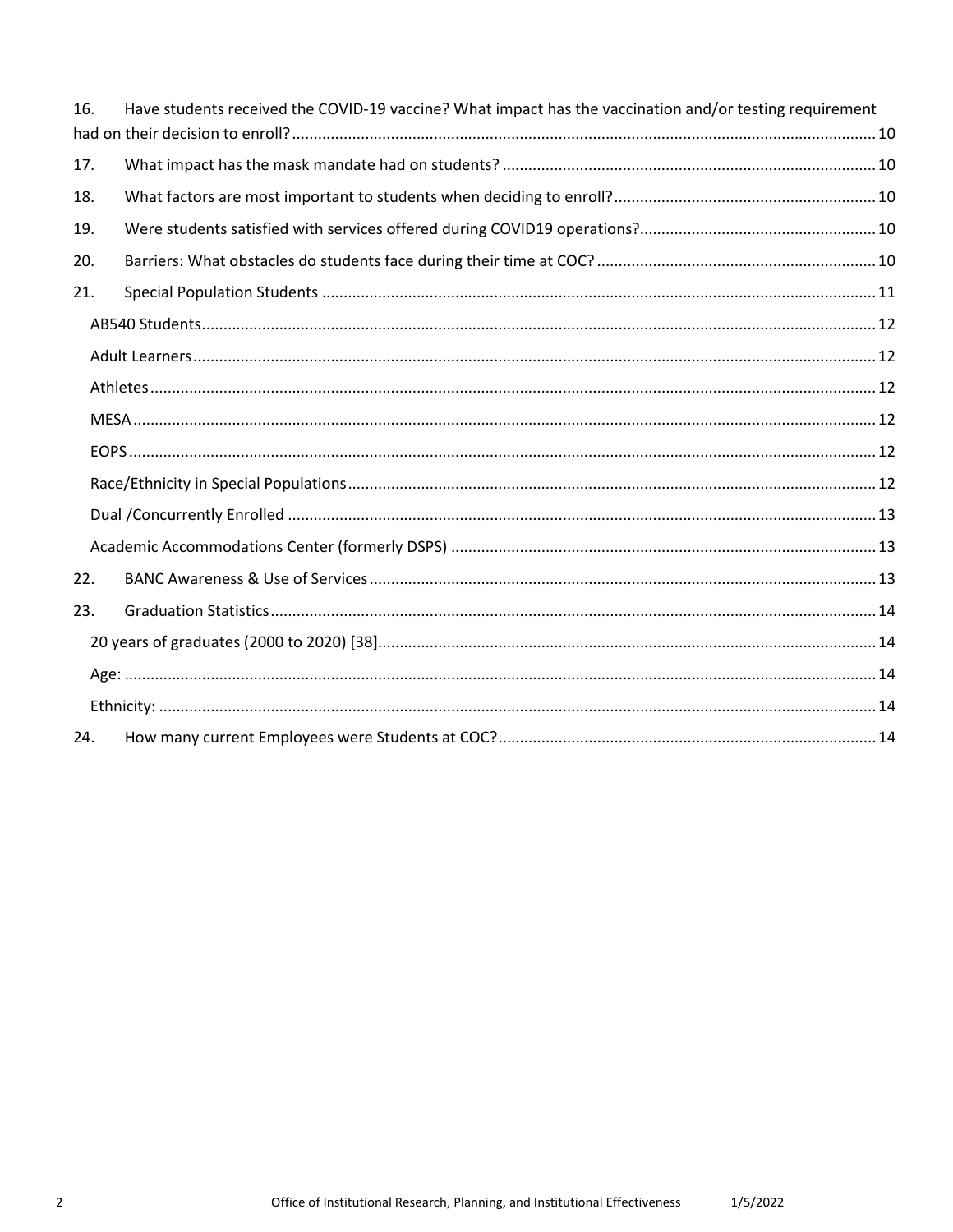| 16. | Have students received the COVID-19 vaccine? What impact has the vaccination and/or testing requirement |  |
|-----|---------------------------------------------------------------------------------------------------------|--|
|     |                                                                                                         |  |
| 17. |                                                                                                         |  |
| 18. |                                                                                                         |  |
| 19. |                                                                                                         |  |
| 20. |                                                                                                         |  |
| 21. |                                                                                                         |  |
|     |                                                                                                         |  |
|     |                                                                                                         |  |
|     |                                                                                                         |  |
|     |                                                                                                         |  |
|     |                                                                                                         |  |
|     |                                                                                                         |  |
|     |                                                                                                         |  |
|     |                                                                                                         |  |
| 22. |                                                                                                         |  |
| 23. |                                                                                                         |  |
|     |                                                                                                         |  |
|     |                                                                                                         |  |
|     |                                                                                                         |  |
| 24. |                                                                                                         |  |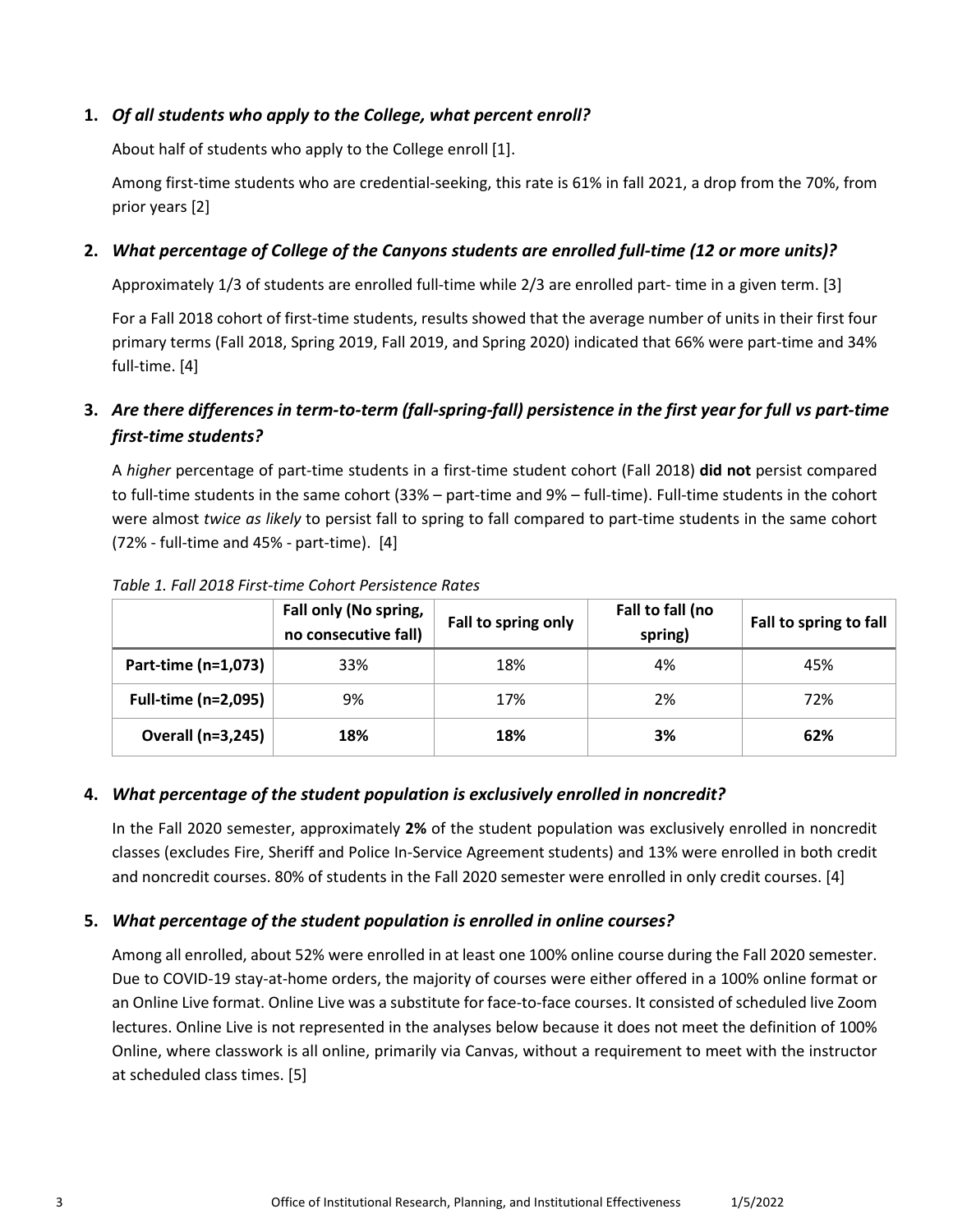#### <span id="page-2-0"></span>**1.** *Of all students who apply to the College, what percent enroll?*

About half of students who apply to the College enroll [1].

 Among first-time students who are credential-seeking, this rate is 61% in fall 2021, a drop from the 70%, from prior years [2]

# <span id="page-2-1"></span> **2.** *What percentage of College of the Canyons students are enrolled full-time (12 or more units)?*

Approximately 1/3 of students are enrolled full-time while 2/3 are enrolled part- time in a given term. [3]

For a Fall 2018 cohort of first-time students, results showed that the average number of units in their first four primary terms (Fall 2018, Spring 2019, Fall 2019, and Spring 2020) indicated that 66% were part-time and 34% full-time. [4]

# <span id="page-2-2"></span> **3.** *Are there differences in term-to-term (fall-spring-fall) persistence in the first year for full vs part-time first-time students?*

 to full-time students in the same cohort (33% – part-time and 9% – full-time). Full-time students in the cohort (72% - full-time and 45% - part-time). [4] A *higher* percentage of part-time students in a first-time student cohort (Fall 2018) **did not** persist compared were almost *twice as likely* to persist fall to spring to fall compared to part-time students in the same cohort

|                            | Fall only (No spring,<br>no consecutive fall) | Fall to spring only | Fall to fall (no<br>spring) | Fall to spring to fall |
|----------------------------|-----------------------------------------------|---------------------|-----------------------------|------------------------|
| Part-time (n=1,073)        | 33%                                           | 18%                 | 4%                          | 45%                    |
| <b>Full-time (n=2,095)</b> | 9%                                            | 17%                 | 2%                          | 72%                    |
| <b>Overall (n=3,245)</b>   | 18%                                           | 18%                 | 3%                          | 62%                    |

*Table 1. Fall 2018 First-time Cohort Persistence Rates* 

# <span id="page-2-3"></span> **4.** *What percentage of the student population is exclusively enrolled in noncredit?*

 and noncredit courses. 80% of students in the Fall 2020 semester were enrolled in only credit courses. [4] In the Fall 2020 semester, approximately **2%** of the student population was exclusively enrolled in noncredit classes (excludes Fire, Sheriff and Police In-Service Agreement students) and 13% were enrolled in both credit

### <span id="page-2-4"></span>**5.** *What percentage of the student population is enrolled in online courses?*

 Among all enrolled, about 52% were enrolled in at least one 100% online course during the Fall 2020 semester. Due to COVID-19 stay-at-home orders, the majority of courses were either offered in a 100% online format or an Online Live format. Online Live was a substitute for face-to-face courses. It consisted of scheduled live Zoom lectures. Online Live is not represented in the analyses below because it does not meet the definition of 100% at scheduled class times. [5] Online, where classwork is all online, primarily via Canvas, without a requirement to meet with the instructor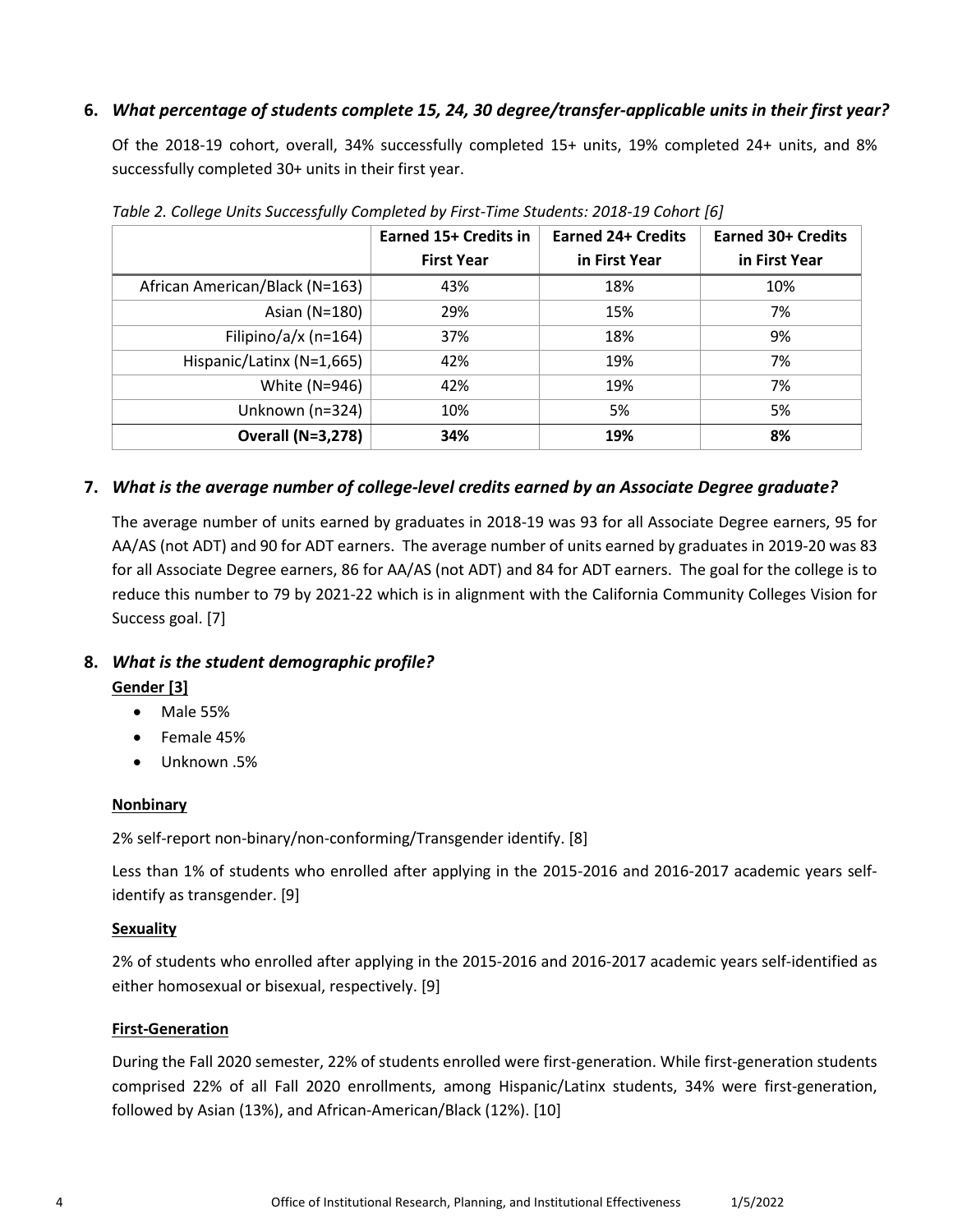# <span id="page-3-0"></span>**6.** *What percentage of students complete 15, 24, 30 degree/transfer-applicable units in their first year?*

 Of the 2018-19 cohort, overall, 34% successfully completed 15+ units, 19% completed 24+ units, and 8% successfully completed 30+ units in their first year.

|                                | Earned 15+ Credits in | <b>Earned 24+ Credits</b> | <b>Earned 30+ Credits</b> |
|--------------------------------|-----------------------|---------------------------|---------------------------|
|                                | <b>First Year</b>     | in First Year             | in First Year             |
| African American/Black (N=163) | 43%                   | 18%                       | 10%                       |
| Asian (N=180)                  | 29%                   | 15%                       | 7%                        |
| Filipino/a/x (n=164)           | 37%                   | 18%                       | 9%                        |
| Hispanic/Latinx (N=1,665)      | 42%                   | 19%                       | 7%                        |
| White (N=946)                  | 42%                   | 19%                       | 7%                        |
| Unknown (n=324)                | 10%                   | 5%                        | 5%                        |
| <b>Overall (N=3,278)</b>       | 34%                   | 19%                       | 8%                        |

*Table 2. College Units Successfully Completed by First-Time Students: 2018-19 Cohort [6]* 

# <span id="page-3-1"></span> **7.** *What is the average number of college-level credits earned by an Associate Degree graduate?*

 AA/AS (not ADT) and 90 for ADT earners. The average number of units earned by graduates in 2019-20 was 83 for all Associate Degree earners, 86 for AA/AS (not ADT) and 84 for ADT earners. The goal for the college is to Success goal. [7] The average number of units earned by graduates in 2018-19 was 93 for all Associate Degree earners, 95 for reduce this number to 79 by 2021-22 which is in alignment with the California Community Colleges Vision for

# <span id="page-3-3"></span><span id="page-3-2"></span> **8.** *What is the student demographic profile?*

### **Gender [3]**

- Male 55%
- Female 45%
- Unknown .5%

### <span id="page-3-4"></span>**Nonbinary**

2% self-report non-binary/non-conforming/Transgender identify. [8]

 Less than 1% of students who enrolled after applying in the 2015-2016 and 2016-2017 academic years self-identify as transgender. [9]

### <span id="page-3-5"></span>**Sexuality**

 either homosexual or bisexual, respectively. [9] 2% of students who enrolled after applying in the 2015-2016 and 2016-2017 academic years self-identified as

### <span id="page-3-6"></span>**First-Generation**

 followed by Asian (13%), and African-American/Black (12%). [10] During the Fall 2020 semester, 22% of students enrolled were first-generation. While first-generation students comprised 22% of all Fall 2020 enrollments, among Hispanic/Latinx students, 34% were first-generation,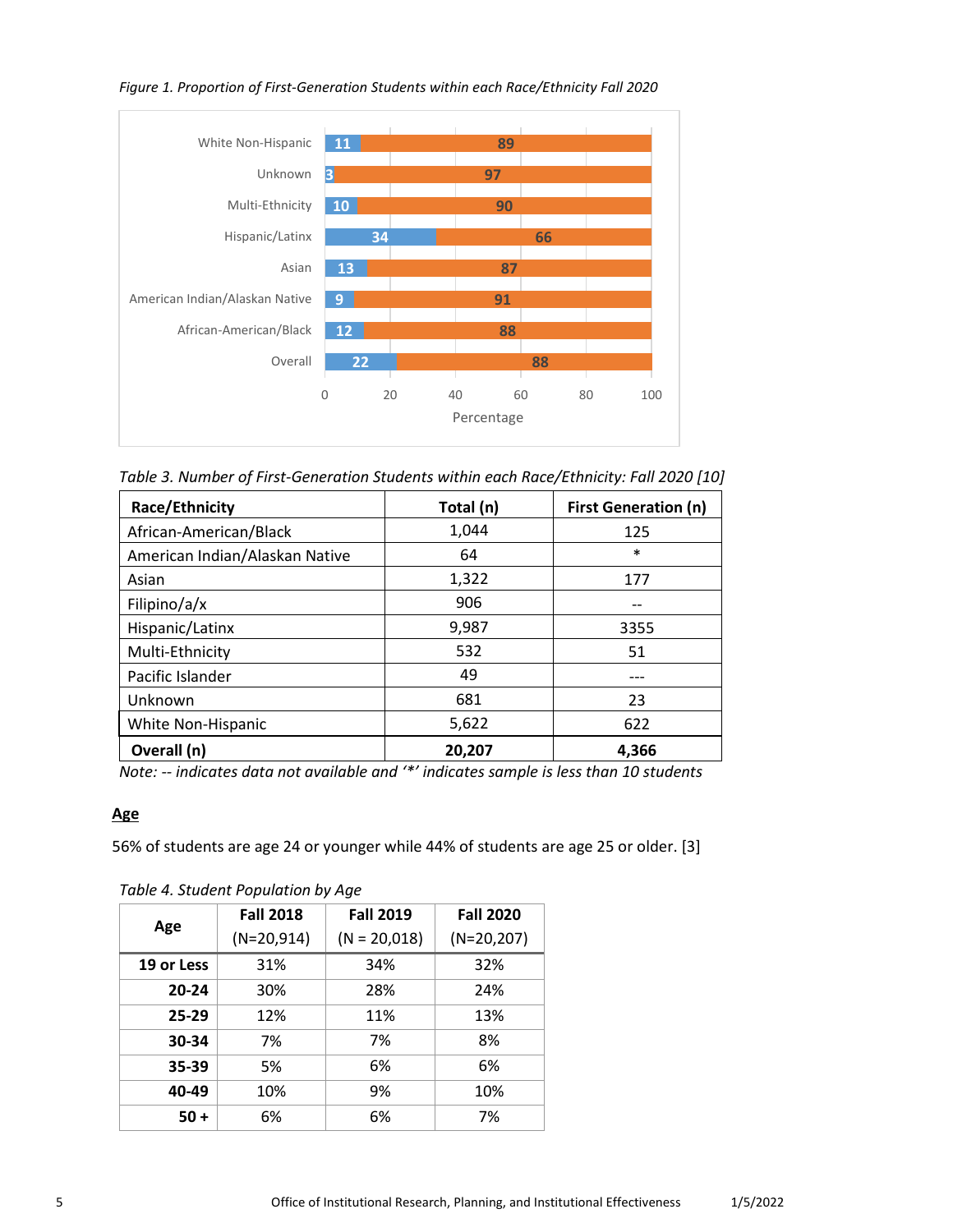

#### *Figure 1. Proportion of First-Generation Students within each Race/Ethnicity Fall 2020*

 *Table 3. Number of First-Generation Students within each Race/Ethnicity: Fall 2020 [10]* 

| Race/Ethnicity                 | Total (n) | <b>First Generation (n)</b> |
|--------------------------------|-----------|-----------------------------|
| African-American/Black         | 1,044     | 125                         |
| American Indian/Alaskan Native | 64        | $\ast$                      |
| Asian                          | 1,322     | 177                         |
| Filipino/a/x                   | 906       |                             |
| Hispanic/Latinx                | 9,987     | 3355                        |
| Multi-Ethnicity                | 532       | 51                          |
| Pacific Islander               | 49        |                             |
| Unknown                        | 681       | 23                          |
| White Non-Hispanic             | 5,622     | 622                         |
| Overall (n)                    | 20,207    | 4,366                       |

 *Note: -- indicates data not available and '\*' indicates sample is less than 10 students* 

#### <span id="page-4-0"></span>**Age**

56% of students are age 24 or younger while 44% of students are age 25 or older. [3]

|            | <b>Fall 2018</b> | <b>Fall 2019</b> | <b>Fall 2020</b> |
|------------|------------------|------------------|------------------|
| Age        | $(N=20,914)$     | $(N = 20,018)$   | $(N=20,207)$     |
| 19 or Less | 31%              | 34%              | 32%              |
| 20-24      | 30%              | 28%              | 24%              |
| 25-29      | 12%              | 11%              | 13%              |
| 30-34      | 7%               | 7%               | 8%               |
| 35-39      | 5%               | 6%               | 6%               |
| 40-49      | 10%              | 9%               | 10%              |
| $50 +$     | 6%               | 6%               | 7%               |

*Table 4. Student Population by Age*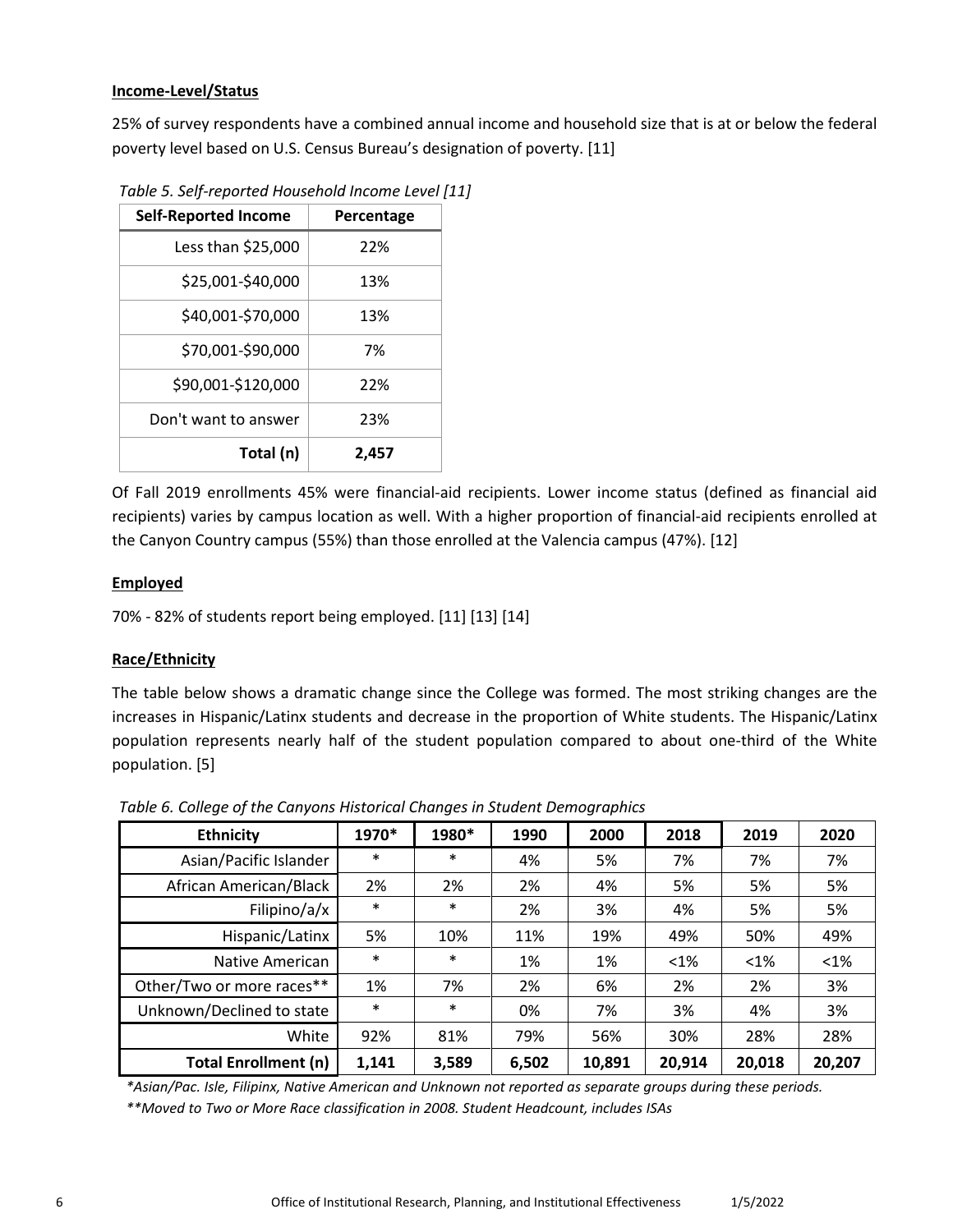#### <span id="page-5-0"></span>**Income-Level/Status**

25% of survey respondents have a combined annual income and household size that is at or below the federal poverty level based on U.S. Census Bureau's designation of poverty. [11]

| <b>Self-Reported Income</b> | Percentage |
|-----------------------------|------------|
| Less than \$25,000          | 22%        |
| \$25,001-\$40,000           | 13%        |
| \$40,001-\$70,000           | 13%        |
| \$70,001-\$90,000           | 7%         |
| \$90,001-\$120,000          | 22%        |
| Don't want to answer        | 23%        |
| Total (n)                   | 2,457      |

*Table 5. Self-reported Household Income Level [11]* 

 Of Fall 2019 enrollments 45% were financial-aid recipients. Lower income status (defined as financial aid recipients) varies by campus location as well. With a higher proportion of financial-aid recipients enrolled at the Canyon Country campus (55%) than those enrolled at the Valencia campus (47%). [12]

#### <span id="page-5-1"></span>**Employed**

70% - 82% of students report being employed. [11] [13] [14]

#### <span id="page-5-2"></span>**Race/Ethnicity**

The table below shows a dramatic change since the College was formed. The most striking changes are the increases in Hispanic/Latinx students and decrease in the proportion of White students. The Hispanic/Latinx population represents nearly half of the student population compared to about one-third of the White population. [5]

**Ethnicity 1970\* 1980\* 1990 2000 2018 2019 2020**  Asian/Pacific Islander | \* | \* | 4% | 5% | 7% | 7% | 7% African American/Black | 2% | 2% | 2% | 4% | 5% | 5% | 5% Filipino/a/x \* \* \* 2% 3% 4% 5% 5% Hispanic/Latinx | 5% | 10% | 11% | 19% | 49% | 50% | 49% Native American **\*** \* \* 1% 1%  $\leq 1\%$  <1% <1% <1% Other/Two or more races\*\* | 1% | 7% | 2% | 6% | 2% | 2% | 3% Unknown/Declined to state \* \* 0% 7% 3% 4% 3% White 92% 81% 79% 56% 30% 28% 28% **Total Enrollment (n) 1,141 3,589 6,502 10,891 20,914 20,018 20,207** 

*Table 6. College of the Canyons Historical Changes in Student Demographics* 

*\*Asian/Pac. Isle, Filipinx, Native American and Unknown not reported as separate groups during these periods.* 

*\*\*Moved to Two or More Race classification in 2008. Student Headcount, includes ISAs*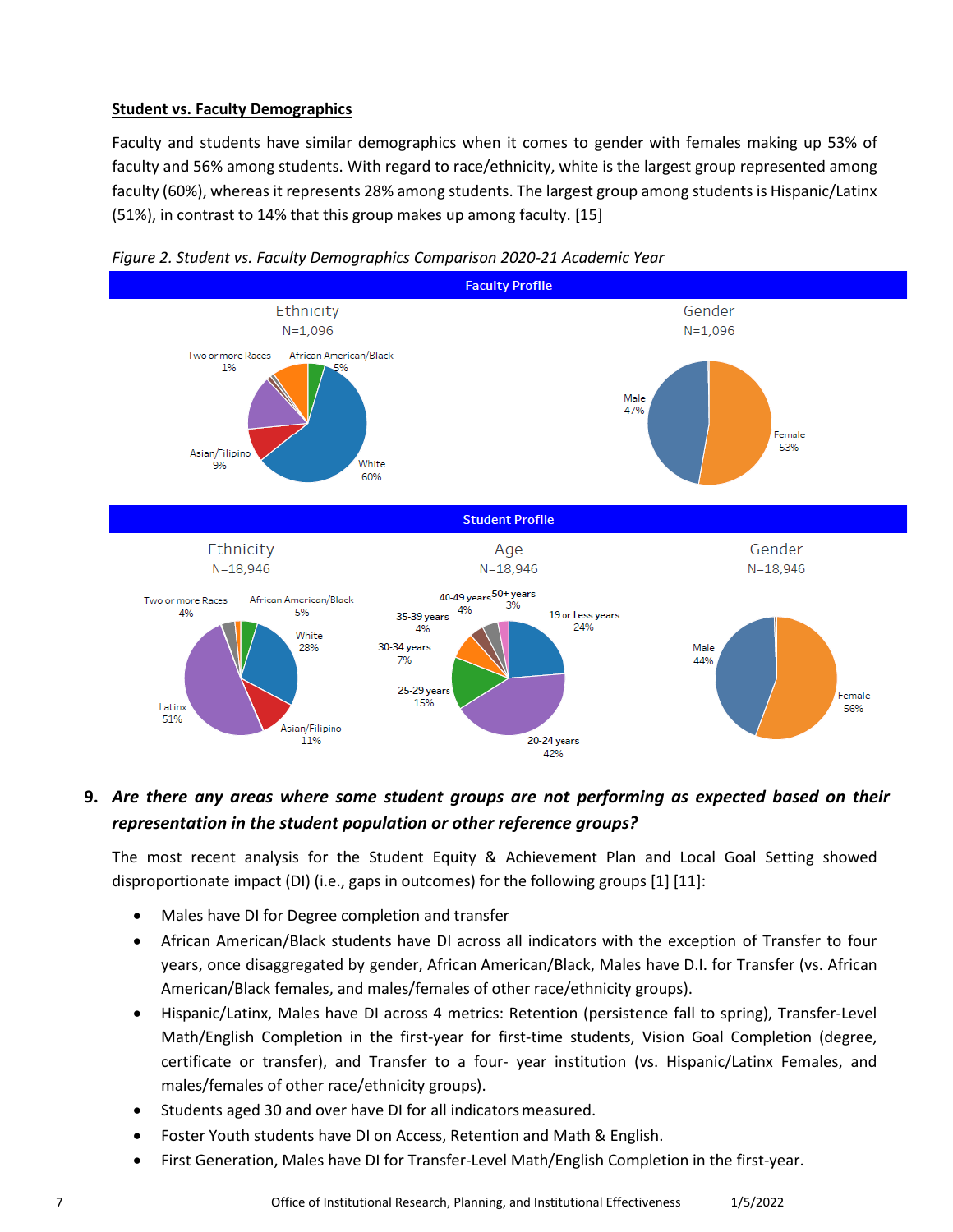#### <span id="page-6-0"></span>**Student vs. Faculty Demographics**

Faculty and students have similar demographics when it comes to gender with females making up 53% of faculty and 56% among students. With regard to race/ethnicity, white is the largest group represented among faculty (60%), whereas it represents 28% among students. The largest group among students is Hispanic/Latinx (51%), in contrast to 14% that this group makes up among faculty. [15]





# <span id="page-6-1"></span> *representation in the student population or other reference groups?* **9.** *Are there any areas where some student groups are not performing as expected based on their*

 The most recent analysis for the Student Equity & Achievement Plan and Local Goal Setting showed disproportionate impact (DI) (i.e., gaps in outcomes) for the following groups [1] [11]:

- Males have DI for Degree completion and transfer
- • African American/Black students have DI across all indicators with the exception of Transfer to four American/Black females, and males/females of other race/ethnicity groups). years, once disaggregated by gender, African American/Black, Males have D.I. for Transfer (vs. African
- • Hispanic/Latinx, Males have DI across 4 metrics: Retention (persistence fall to spring), Transfer-Level certificate or transfer), and Transfer to a four- year institution (vs. Hispanic/Latinx Females, and Math/English Completion in the first-year for first-time students, Vision Goal Completion (degree, males/females of other race/ethnicity groups).
- Students aged 30 and over have DI for all indicators measured.
- Foster Youth students have DI on Access, Retention and Math & English.
- First Generation, Males have DI for Transfer-Level Math/English Completion in the first-year.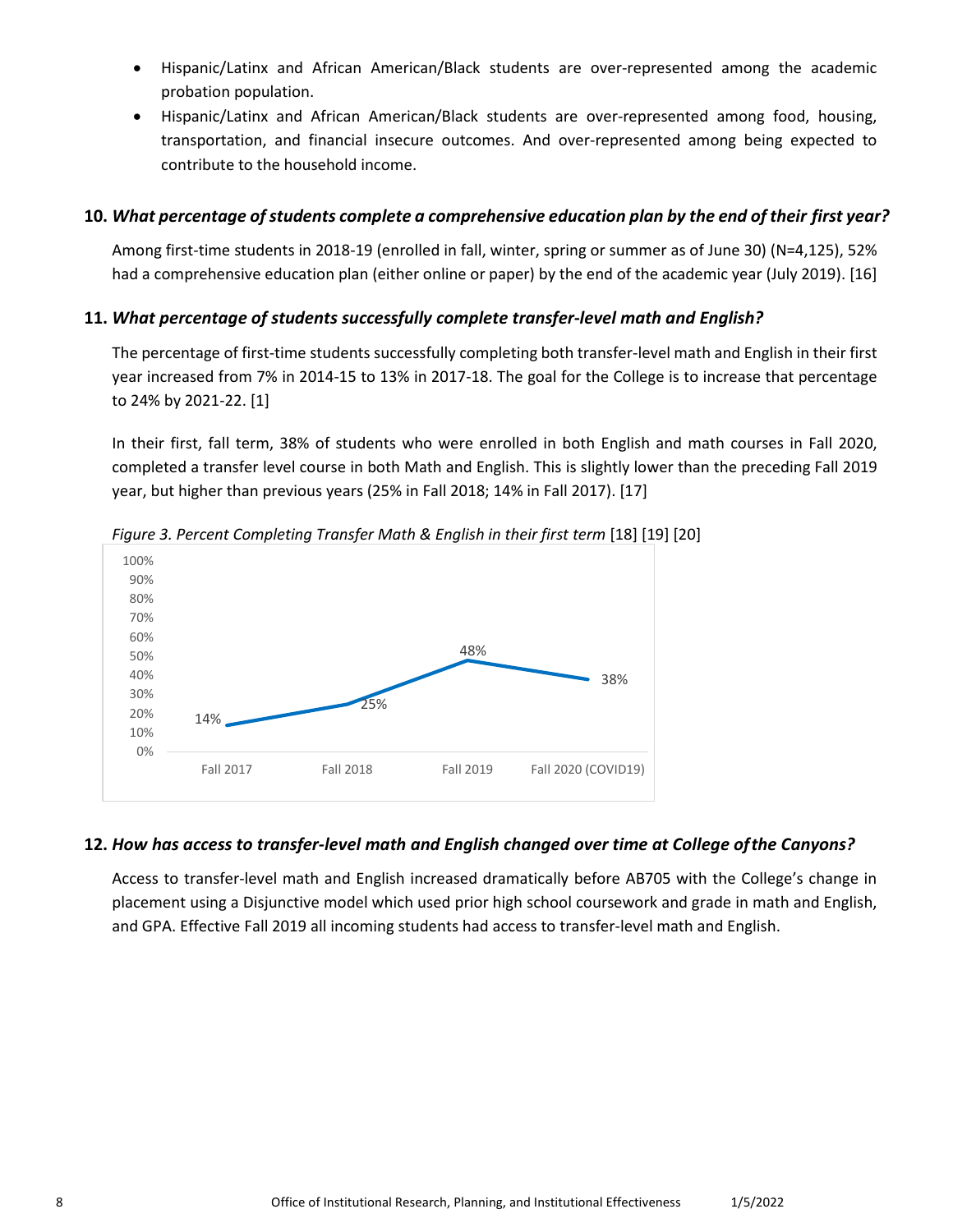- Hispanic/Latinx and African American/Black students are over-represented among the academic probation population.
- transportation, and financial insecure outcomes. And over-represented among being expected to contribute to the household income. • Hispanic/Latinx and African American/Black students are over-represented among food, housing,

# <span id="page-7-0"></span> **10.** *What percentage of students complete a comprehensive education plan by the end of their first year?*

 had a comprehensive education plan (either online or paper) by the end of the academic year (July 2019). [16] Among first-time students in 2018-19 (enrolled in fall, winter, spring or summer as of June 30) (N=4,125), 52%

# <span id="page-7-1"></span> **11.** *What percentage of students successfully complete transfer-level math and English?*

 The percentage of first-time students successfully completing both transfer-level math and English in their first year increased from 7% in 2014-15 to 13% in 2017-18. The goal for the College is to increase that percentage to 24% by 2021-22. [1]

 year, but higher than previous years (25% in Fall 2018; 14% in Fall 2017). [17] In their first, fall term, 38% of students who were enrolled in both English and math courses in Fall 2020, completed a transfer level course in both Math and English. This is slightly lower than the preceding Fall 2019



Figure 3. Percent Completing Transfer Math & English in their first term [18] [[19\]](#page-16-0) [[20](#page-16-0)]

# <span id="page-7-2"></span>**12.** *How has access to transfer-level math and English changed over time at College ofthe Canyons?*

Access to transfer-level math and English increased dramatically before AB705 with the College's change in placement using a Disjunctive model which used prior high school coursework and grade in math and English, and GPA. Effective Fall 2019 all incoming students had access to transfer-level math and English.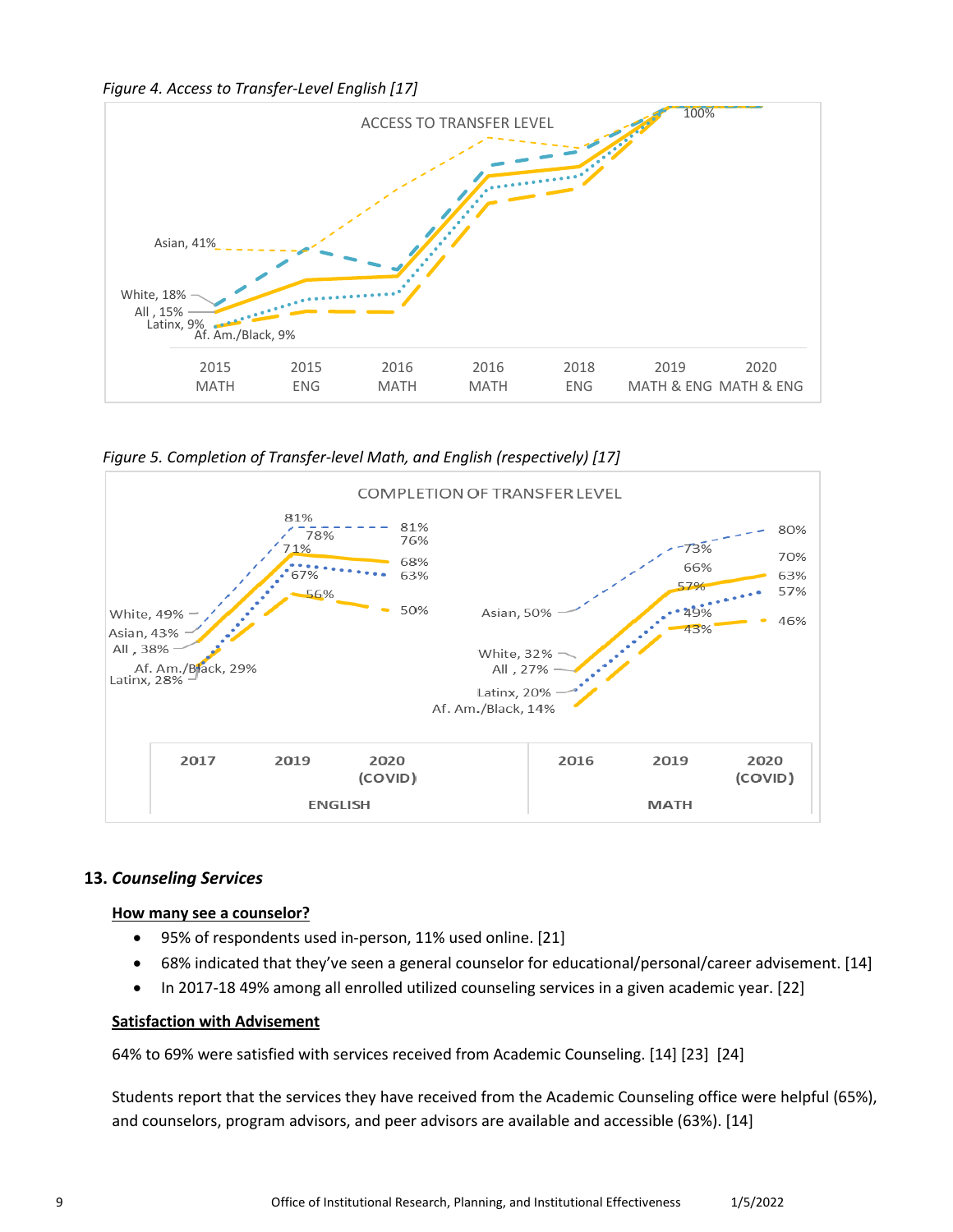*Figure 4. Access to Transfer-Level English [17]* 



 *Figure 5. Completion of Transfer-level Math, and English (respectively) [17]* 



# <span id="page-8-1"></span><span id="page-8-0"></span> **13.** *Counseling Services*

#### **How many see a counselor?**

- 95% of respondents used in-person, 11% used online. [21]
- 68% indicated that they've seen a general counselor for educational/personal/career advisement. [14]
- In 2017-18 49% among all enrolled utilized counseling services in a given academic year. [22]

#### <span id="page-8-2"></span>**Satisfaction with Advisement**

64% to 69% were satisfied with services received from Academic Counseling. [14] [23] [24]

Students report that the services they have received from the Academic Counseling office were helpful (65%), and counselors, program advisors, and peer advisors are available and accessible (63%). [14]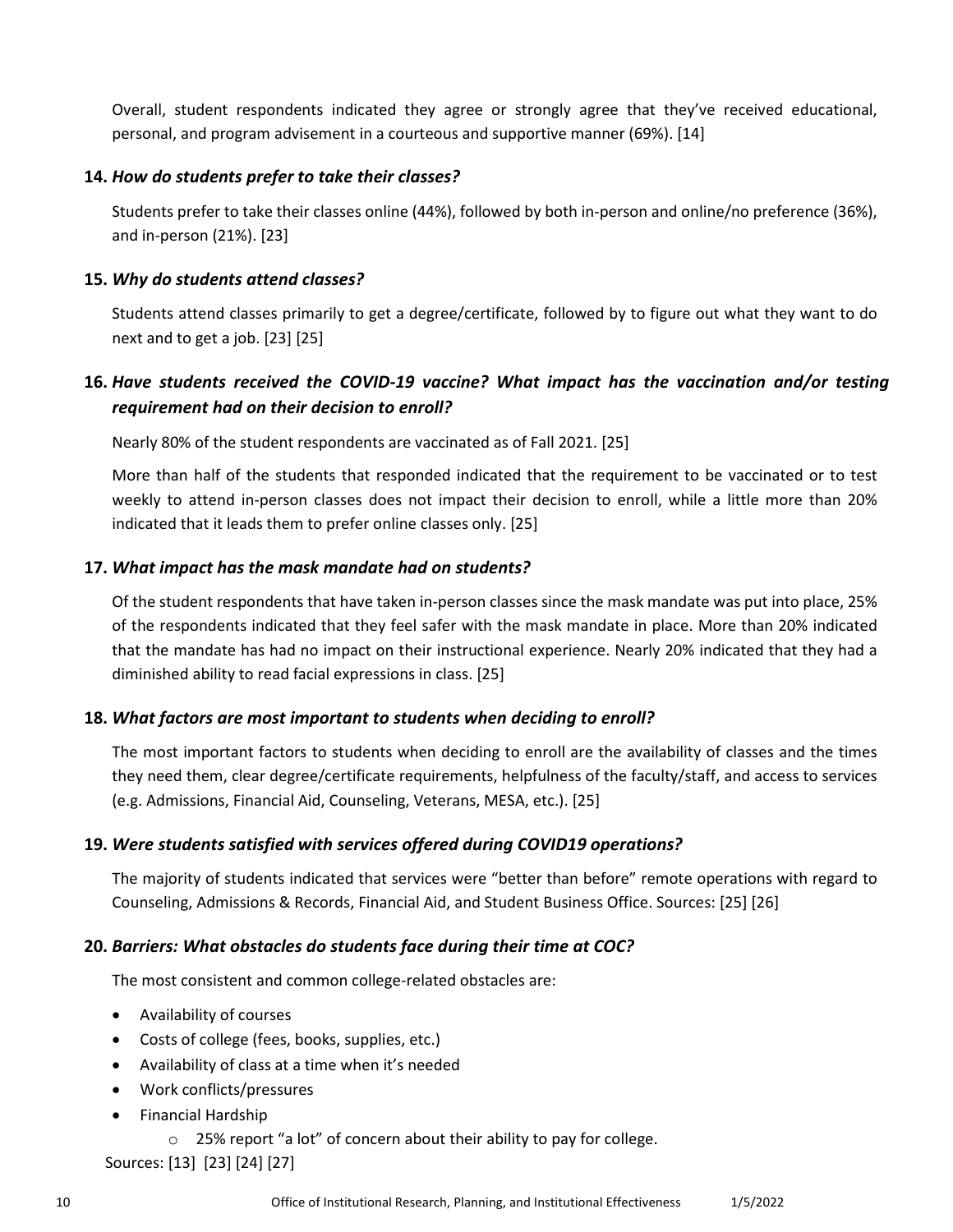personal, and program advisement in a courteous and supportive manner (69%). [14] Overall, student respondents indicated they agree or strongly agree that they've received educational,

#### <span id="page-9-0"></span>**14.** *How do students prefer to take their classes?*

Students prefer to take their classes online (44%), followed by both in-person and online/no preference (36%), and in-person (21%). [23]

#### <span id="page-9-1"></span>**15.** *Why do students attend classes?*

 Students attend classes primarily to get a degree/certificate, followed by to figure out what they want to do next and to get a job. [23] [25]

# <span id="page-9-2"></span>**16.** *Have students received the COVID-19 vaccine? What impact has the vaccination and/or testing requirement had on their decision to enroll?*

Nearly 80% of the student respondents are vaccinated as of Fall 2021. [25]

 weekly to attend in-person classes does not impact their decision to enroll, while a little more than 20% indicated that it leads them to prefer online classes only. [25] More than half of the students that responded indicated that the requirement to be vaccinated or to test

### <span id="page-9-3"></span>**17.** *What impact has the mask mandate had on students?*

 Of the student respondents that have taken in-person classes since the mask mandate was put into place, 25% that the mandate has had no impact on their instructional experience. Nearly 20% indicated that they had a of the respondents indicated that they feel safer with the mask mandate in place. More than 20% indicated diminished ability to read facial expressions in class. [25]

### <span id="page-9-4"></span>**18.** *What factors are most important to students when deciding to enroll?*

The most important factors to students when deciding to enroll are the availability of classes and the times they need them, clear degree/certificate requirements, helpfulness of the faculty/staff, and access to services (e.g. Admissions, Financial Aid, Counseling, Veterans, MESA, etc.). [25]

### <span id="page-9-5"></span>**19.** *Were students satisfied with services offered during COVID19 operations?*

 Counseling, Admissions & Records, Financial Aid, and Student Business Office. Sources: [25] [26] The majority of students indicated that services were "better than before" remote operations with regard to

## <span id="page-9-6"></span> **20.** *Barriers: What obstacles do students face during their time at COC?*

The most consistent and common college-related obstacles are:

- Availability of courses
- Costs of college (fees, books, supplies, etc.)
- Availability of class at a time when it's needed
- Work conflicts/pressures
- • Financial Hardship
	- $\circ$  25% report "a lot" of concern about their ability to pay for college.

Sources: [13] [23] [24] [27]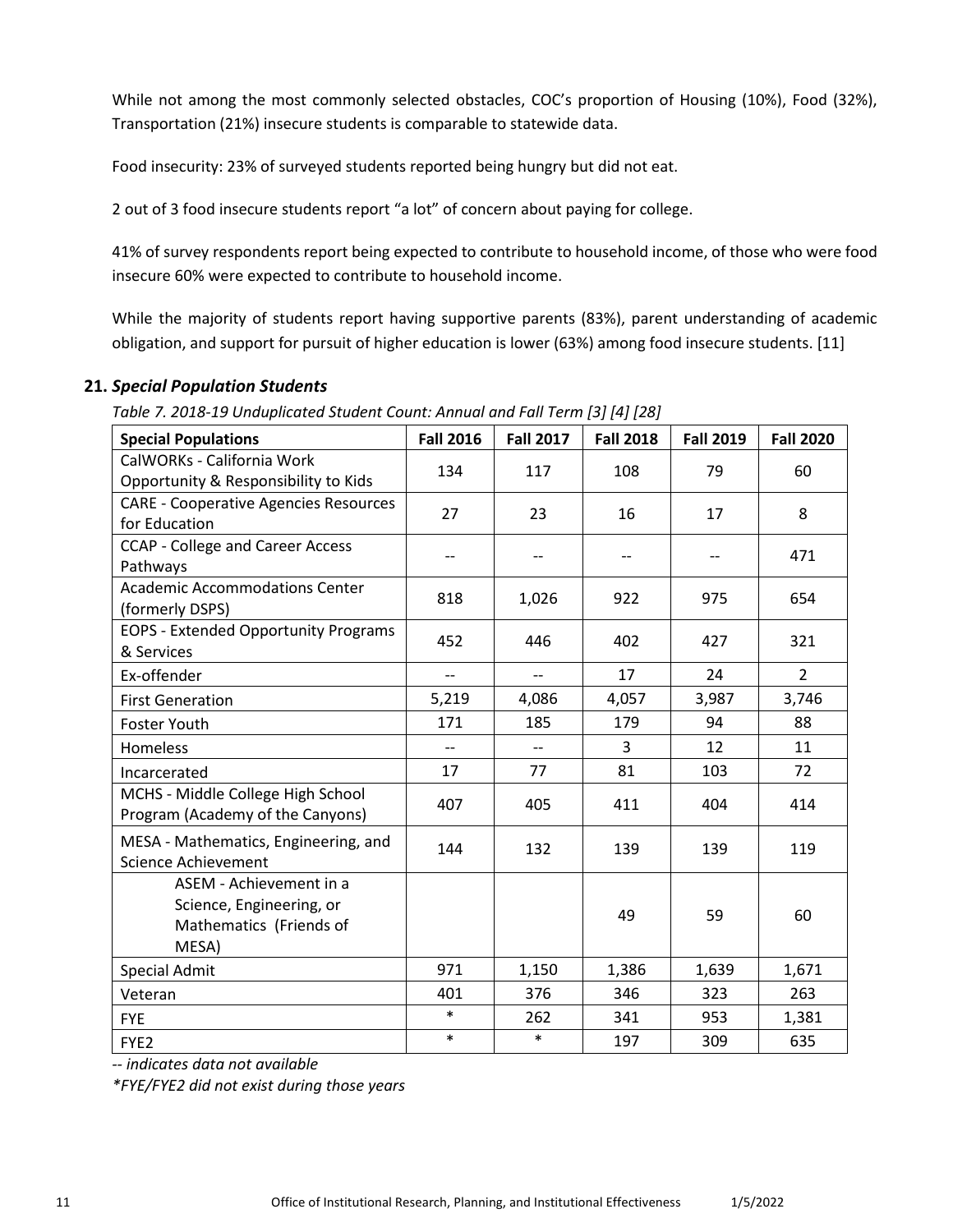While not among the most commonly selected obstacles, COC's proportion of Housing (10%), Food (32%), Transportation (21%) insecure students is comparable to statewide data.

Food insecurity: 23% of surveyed students reported being hungry but did not eat.

2 out of 3 food insecure students report "a lot" of concern about paying for college.

 41% of survey respondents report being expected to contribute to household income, of those who were food insecure 60% were expected to contribute to household income.

 While the majority of students report having supportive parents (83%), parent understanding of academic obligation, and support for pursuit of higher education is lower (63%) among food insecure students. [11]

# <span id="page-10-0"></span> **21.** *Special Population Students*

 *Table 7. Unduplicated Student Count: Annual and Fall Term [3] [4] [28]* 

| <b>Special Populations</b>                                                              | <b>Fall 2016</b>         | <b>Fall 2017</b>         | <b>Fall 2018</b> | <b>Fall 2019</b> | <b>Fall 2020</b> |
|-----------------------------------------------------------------------------------------|--------------------------|--------------------------|------------------|------------------|------------------|
| CalWORKs - California Work                                                              | 134                      | 117                      | 108              | 79               | 60               |
| Opportunity & Responsibility to Kids                                                    |                          |                          |                  |                  |                  |
| <b>CARE - Cooperative Agencies Resources</b>                                            | 27                       | 23                       | 16               | 17               | 8                |
| for Education                                                                           |                          |                          |                  |                  |                  |
| <b>CCAP - College and Career Access</b>                                                 | --                       | --                       | --               | --               | 471              |
| Pathways                                                                                |                          |                          |                  |                  |                  |
| <b>Academic Accommodations Center</b><br>(formerly DSPS)                                | 818                      | 1,026                    | 922              | 975              | 654              |
| <b>EOPS - Extended Opportunity Programs</b><br>& Services                               | 452                      | 446                      | 402              | 427              | 321              |
| Ex-offender                                                                             | $\overline{\phantom{a}}$ | $\overline{\phantom{a}}$ | 17               | 24               | $\overline{2}$   |
| <b>First Generation</b>                                                                 | 5,219                    | 4,086                    | 4,057            | 3,987            | 3,746            |
| <b>Foster Youth</b>                                                                     | 171                      | 185                      | 179              | 94               | 88               |
| Homeless                                                                                | $\overline{\phantom{a}}$ | $\overline{\phantom{a}}$ | 3                | 12               | 11               |
| Incarcerated                                                                            | 17                       | 77                       | 81               | 103              | 72               |
| MCHS - Middle College High School<br>Program (Academy of the Canyons)                   | 407                      | 405                      | 411              | 404              | 414              |
| MESA - Mathematics, Engineering, and<br><b>Science Achievement</b>                      | 144                      | 132                      | 139              | 139              | 119              |
| ASEM - Achievement in a<br>Science, Engineering, or<br>Mathematics (Friends of<br>MESA) |                          |                          | 49               | 59               | 60               |
| <b>Special Admit</b>                                                                    | 971                      | 1,150                    | 1,386            | 1,639            | 1,671            |
| Veteran                                                                                 | 401                      | 376                      | 346              | 323              | 263              |
| <b>FYE</b>                                                                              | $\ast$                   | 262                      | 341              | 953              | 1,381            |
| FYE <sub>2</sub>                                                                        | $\ast$                   | $\ast$                   | 197              | 309              | 635              |

*-- indicates data not available* 

*\*FYE/FYE2 did not exist during those years*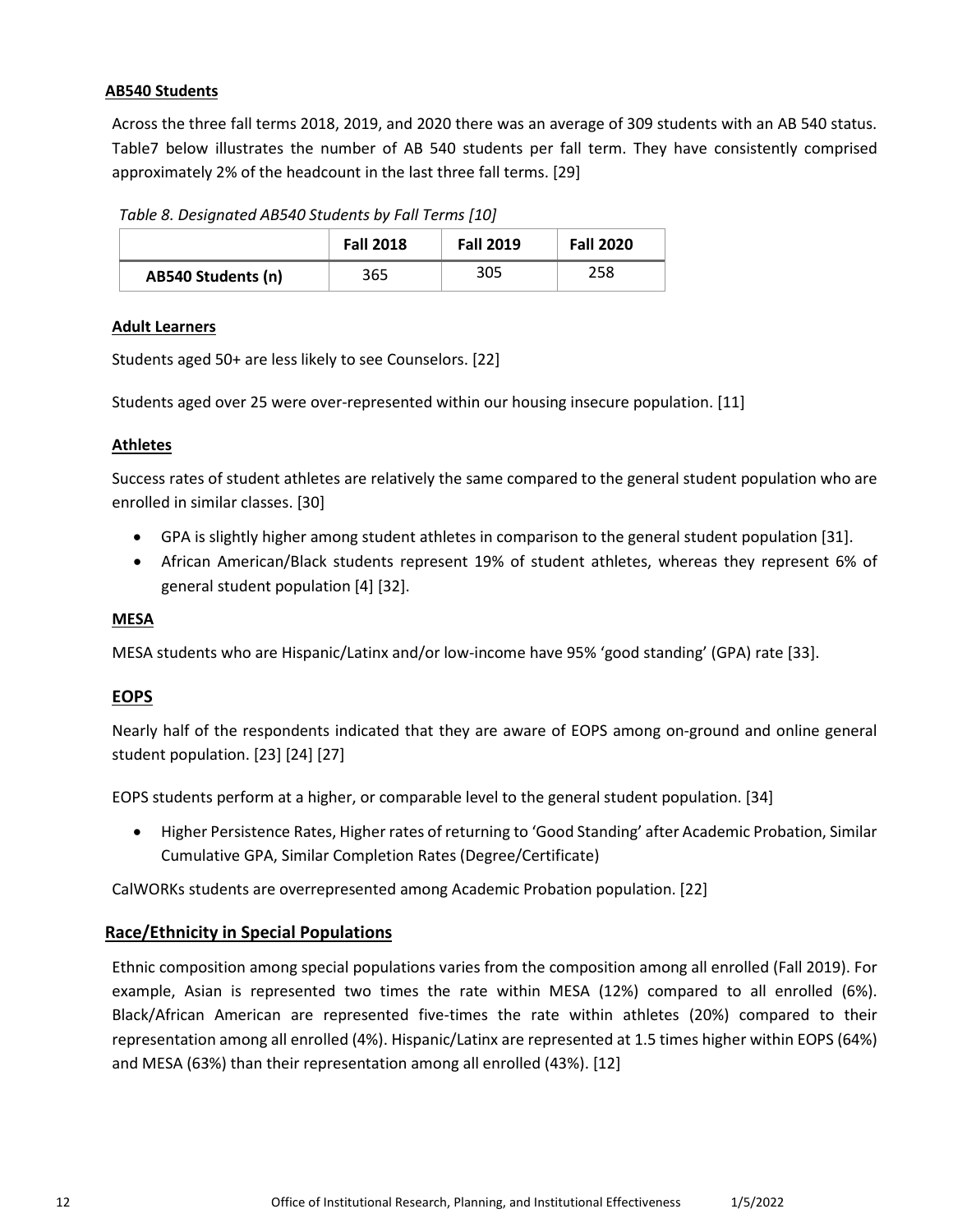#### <span id="page-11-0"></span>**AB540 Students**

Across the three fall terms 2018, 2019, and 2020 there was an average of 309 students with an AB 540 status. Table7 below illustrates the number of AB 540 students per fall term. They have consistently comprised approximately 2% of the headcount in the last three fall terms. [29]

*Table 8. Designated AB540 Students by Fall Terms [10]* 

|                           | <b>Fall 2018</b> | <b>Fall 2019</b> | <b>Fall 2020</b> |
|---------------------------|------------------|------------------|------------------|
| <b>AB540 Students (n)</b> | 365              | 305              | 258              |

#### <span id="page-11-1"></span>**Adult Learners**

Students aged 50+ are less likely to see Counselors. [22]

Students aged over 25 were over-represented within our housing insecure population. [11]

#### <span id="page-11-2"></span>**Athletes**

Success rates of student athletes are relatively the same compared to the general student population who are enrolled in similar classes. [30]

- GPA is slightly higher among student athletes in comparison to the general student population [31].
- general student population [4] [32]. • African American/Black students represent 19% of student athletes, whereas they represent 6% of

#### <span id="page-11-3"></span>**MESA**

MESA students who are Hispanic/Latinx and/or low-income have 95% 'good standing' (GPA) rate [33].

### <span id="page-11-4"></span>**EOPS**

Nearly half of the respondents indicated that they are aware of EOPS among on-ground and online general student population. [23] [24] [27]

EOPS students perform at a higher, or comparable level to the general student population. [34]

• Higher Persistence Rates, Higher rates of returning to 'Good Standing' after Academic Probation, Similar Cumulative GPA, Similar Completion Rates (Degree/Certificate)

CalWORKs students are overrepresented among Academic Probation population. [22]

### <span id="page-11-5"></span>**Race/Ethnicity in Special Populations**

Ethnic composition among special populations varies from the composition among all enrolled (Fall 2019). For example, Asian is represented two times the rate within MESA (12%) compared to all enrolled (6%). Black/African American are represented five-times the rate within athletes (20%) compared to their representation among all enrolled (4%). Hispanic/Latinx are represented at 1.5 times higher within EOPS (64%) and MESA (63%) than their representation among all enrolled (43%). [12]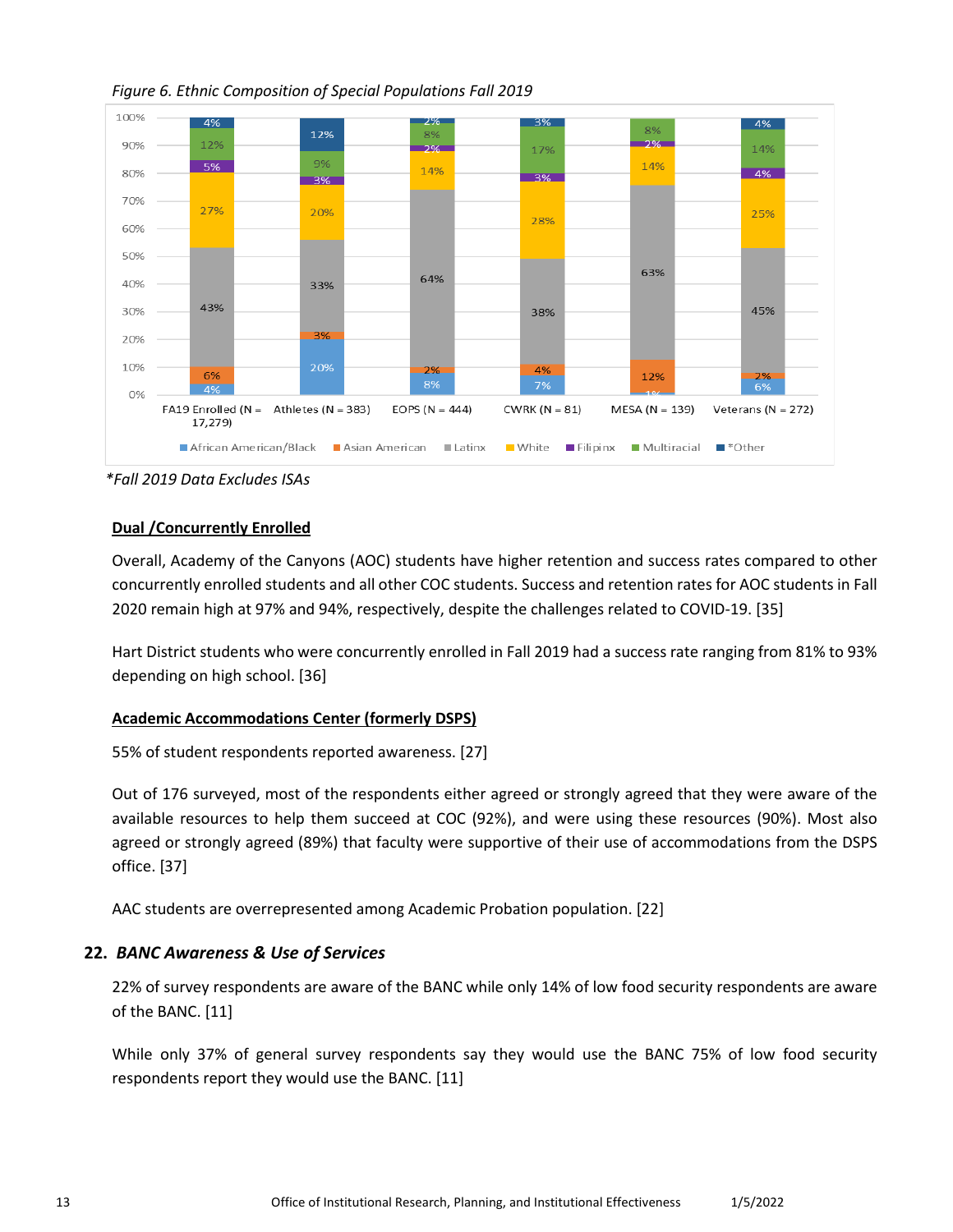

*Figure 6. Ethnic Composition of Special Populations Fall 2019* 

*\*Fall 2019 Data Excludes ISAs* 

### <span id="page-12-0"></span>**Dual /Concurrently Enrolled**

Overall, Academy of the Canyons (AOC) students have higher retention and success rates compared to other concurrently enrolled students and all other COC students. Success and retention rates for AOC students in Fall 2020 remain high at 97% and 94%, respectively, despite the challenges related to COVID-19. [35]

Hart District students who were concurrently enrolled in Fall 2019 had a success rate ranging from 81% to 93% depending on high school. [36]

### <span id="page-12-1"></span>**Academic Accommodations Center (formerly DSPS)**

55% of student respondents reported awareness. [27]

Out of 176 surveyed, most of the respondents either agreed or strongly agreed that they were aware of the available resources to help them succeed at COC (92%), and were using these resources (90%). Most also agreed or strongly agreed (89%) that faculty were supportive of their use of accommodations from the DSPS office. [37]

AAC students are overrepresented among Academic Probation population. [22]

# <span id="page-12-2"></span>**22.** *BANC Awareness & Use of Services*

22% of survey respondents are aware of the BANC while only 14% of low food security respondents are aware of the BANC. [11]

While only 37% of general survey respondents say they would use the BANC 75% of low food security respondents report they would use the BANC. [11]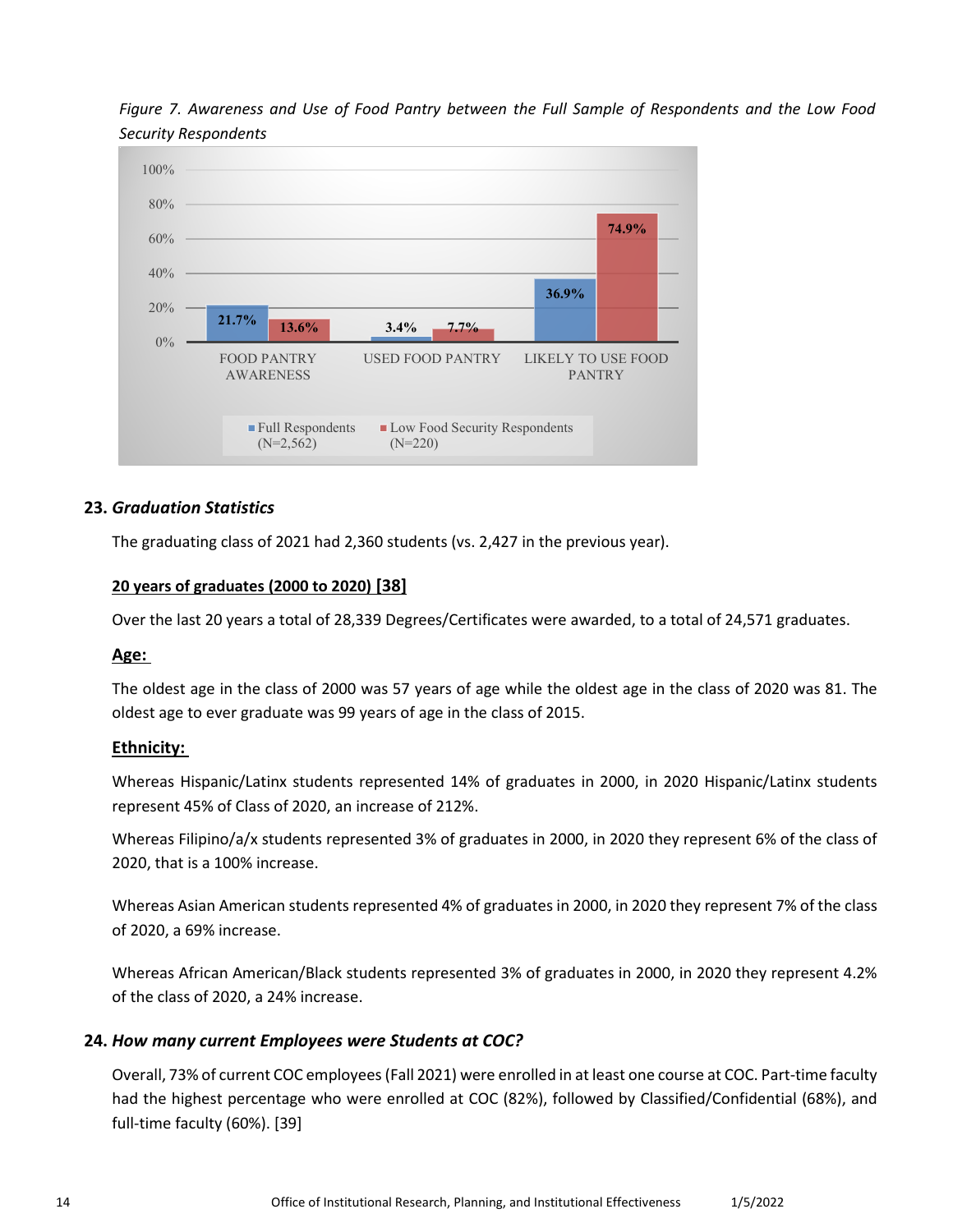

 *Figure 7. Awareness and Use of Food Pantry between the Full Sample of Respondents and the Low Food Security Respondents* 

# <span id="page-13-0"></span> **23.** *Graduation Statistics*

The graduating class of 2021 had 2,360 students (vs. 2,427 in the previous year).

#### <span id="page-13-1"></span>**20 years of graduates (2000 to 2020) [38]**

Over the last 20 years a total of 28,339 Degrees/Certificates were awarded, to a total of 24,571 graduates.

#### <span id="page-13-2"></span>**Age:**

 The oldest age in the class of 2000 was 57 years of age while the oldest age in the class of 2020 was 81. The oldest age to ever graduate was 99 years of age in the class of 2015.

#### <span id="page-13-3"></span>**Ethnicity:**

 Whereas Hispanic/Latinx students represented 14% of graduates in 2000, in 2020 Hispanic/Latinx students represent 45% of Class of 2020, an increase of 212%.

 Whereas Filipino/a/x students represented 3% of graduates in 2000, in 2020 they represent 6% of the class of 2020, that is a 100% increase.

 Whereas Asian American students represented 4% of graduates in 2000, in 2020 they represent 7% of the class of 2020, a 69% increase.

 Whereas African American/Black students represented 3% of graduates in 2000, in 2020 they represent 4.2% of the class of 2020, a 24% increase.

#### <span id="page-13-4"></span>**24.** *How many current Employees were Students at COC?*

Overall, 73% of current COC employees (Fall 2021) were enrolled in at least one course at COC. Part-time faculty had the highest percentage who were enrolled at COC (82%), followed by Classified/Confidential (68%), and full-time faculty (60%). [39]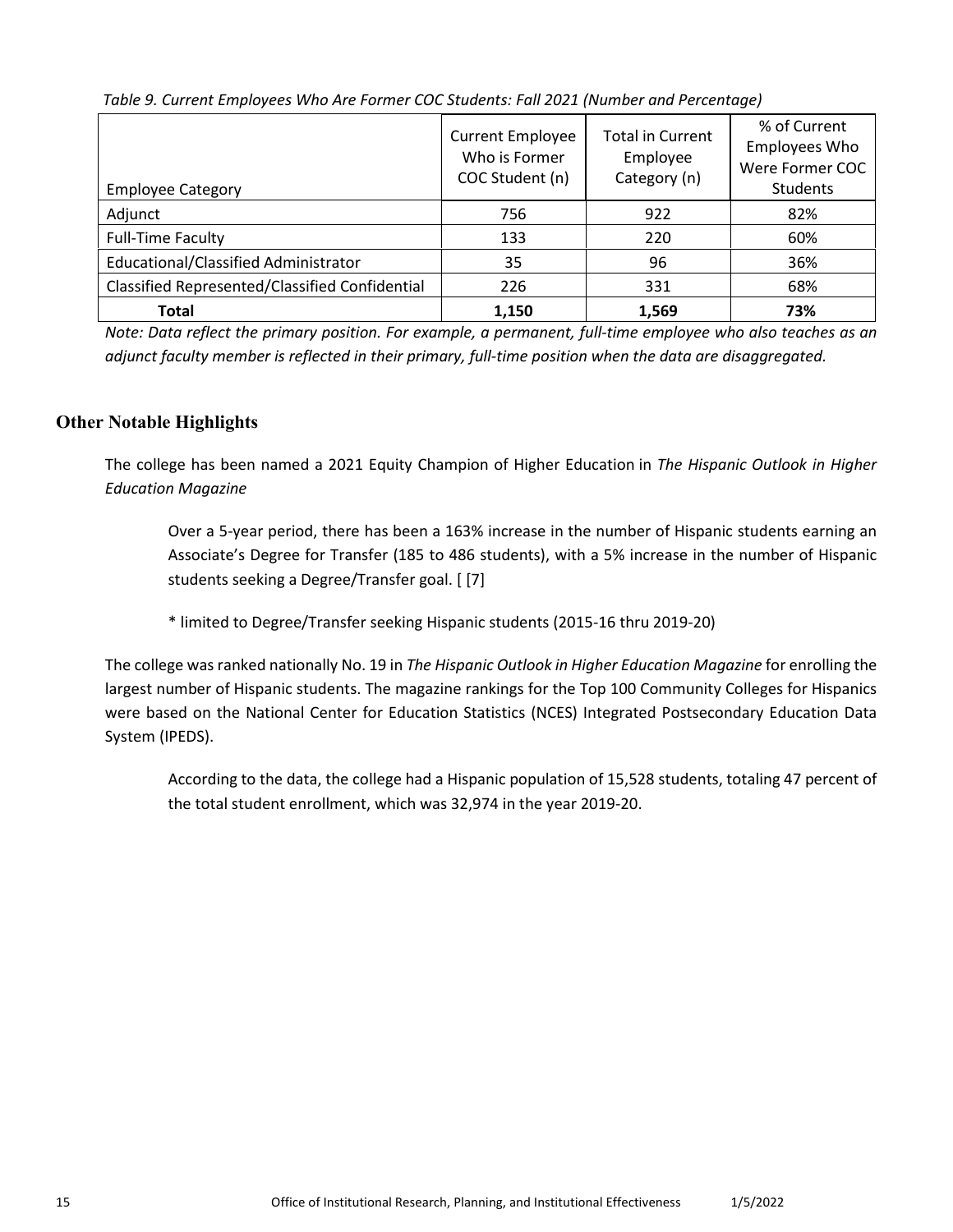| <b>Employee Category</b>                              | <b>Current Employee</b><br>Who is Former<br>COC Student (n) | <b>Total in Current</b><br>Employee<br>Category (n) | % of Current<br><b>Employees Who</b><br>Were Former COC<br>Students |
|-------------------------------------------------------|-------------------------------------------------------------|-----------------------------------------------------|---------------------------------------------------------------------|
| Adjunct                                               | 756                                                         | 922                                                 | 82%                                                                 |
| <b>Full-Time Faculty</b>                              | 133                                                         | 220                                                 | 60%                                                                 |
| Educational/Classified Administrator                  | 35                                                          | 96                                                  | 36%                                                                 |
| <b>Classified Represented/Classified Confidential</b> | 226                                                         | 331                                                 | 68%                                                                 |
| <b>Total</b>                                          | 1,150                                                       | 1,569                                               | 73%                                                                 |

*Table 9. Current Employees Who Are Former COC Students: Fall 2021 (Number and Percentage)* 

 *Note: Data reflect the primary position. For example, a permanent, full-time employee who also teaches as an adjunct faculty member is reflected in their primary, full-time position when the data are disaggregated.* 

# **Other Notable Highlights**

The college has been named a 2021 Equity Champion of Higher Education in *The Hispanic Outlook in Higher Education Magazine* 

Over a 5-year period, there has been a 163% increase in the number of Hispanic students earning an Associate's Degree for Transfer (185 to 486 students), with a 5% increase in the number of Hispanic students seeking a Degree/Transfer goal. [ [7]

\* limited to Degree/Transfer seeking Hispanic students (2015-16 thru 2019-20)

The college was ranked nationally No. 19 in *The Hispanic Outlook in Higher Education Magazine* for enrolling the largest number of Hispanic students. The magazine rankings for the Top 100 Community Colleges for Hispanics were based on the National Center for Education Statistics (NCES) Integrated Postsecondary Education Data System (IPEDS).

According to the data, the college had a Hispanic population of 15,528 students, totaling 47 percent of the total student enrollment, which was 32,974 in the year 2019-20.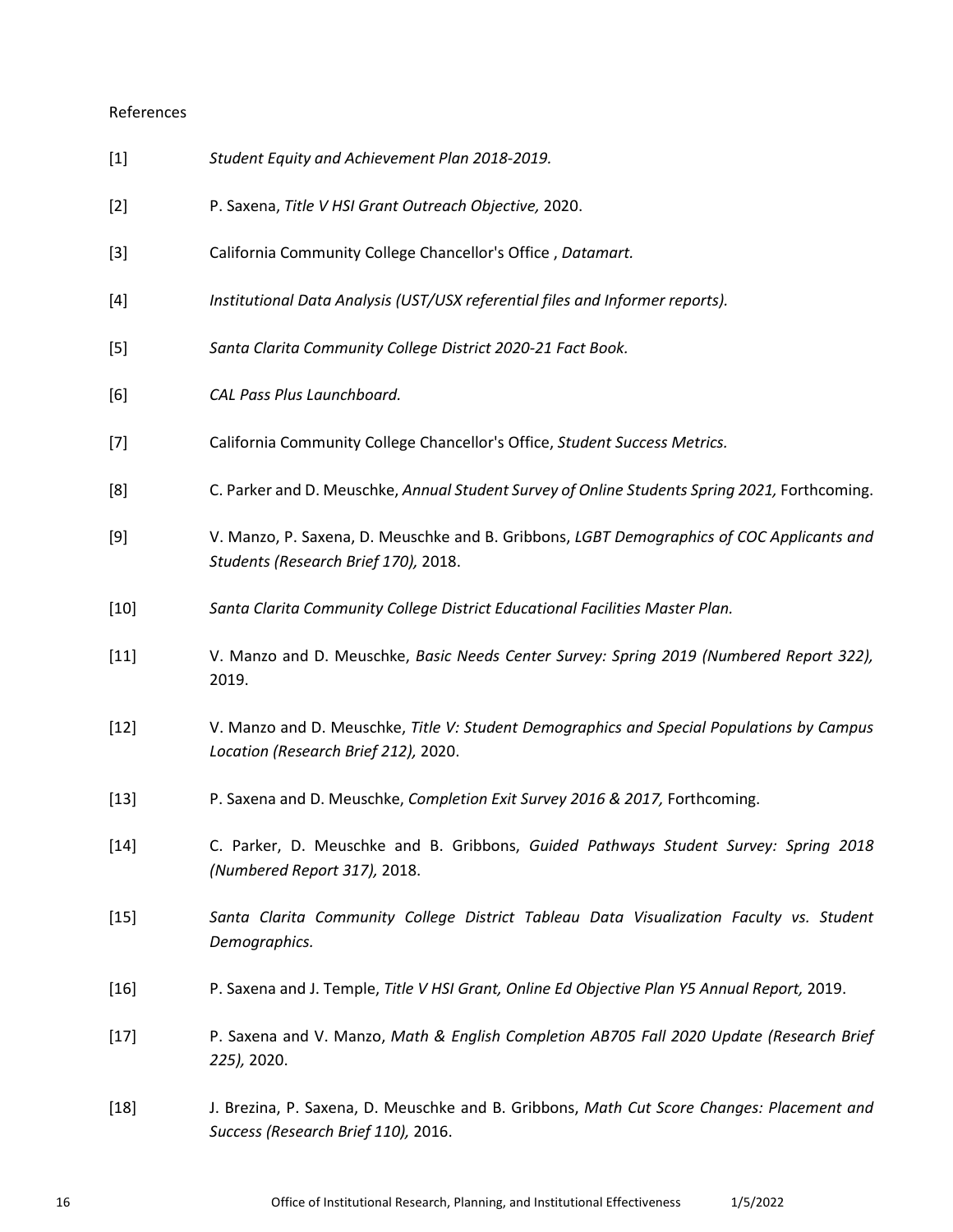#### References

| $[1]$                                                                                                                                                                                         | Student Equity and Achievement Plan 2018-2019.                                                                                    |
|-----------------------------------------------------------------------------------------------------------------------------------------------------------------------------------------------|-----------------------------------------------------------------------------------------------------------------------------------|
| $[2]$                                                                                                                                                                                         | P. Saxena, Title V HSI Grant Outreach Objective, 2020.                                                                            |
| $[3]$                                                                                                                                                                                         | California Community College Chancellor's Office, Datamart.                                                                       |
| $[4] % \includegraphics[width=0.9\columnwidth]{images/TrDiS-Architecture.png} % \caption{The figure shows the results of the estimators in the left and right.} \label{TrDiS-Architecture} %$ | Institutional Data Analysis (UST/USX referential files and Informer reports).                                                     |
| $[5]$                                                                                                                                                                                         | Santa Clarita Community College District 2020-21 Fact Book.                                                                       |
| [6]                                                                                                                                                                                           | CAL Pass Plus Launchboard.                                                                                                        |
| [7]                                                                                                                                                                                           | California Community College Chancellor's Office, Student Success Metrics.                                                        |
| [8]                                                                                                                                                                                           | C. Parker and D. Meuschke, Annual Student Survey of Online Students Spring 2021, Forthcoming.                                     |
| [9]                                                                                                                                                                                           | V. Manzo, P. Saxena, D. Meuschke and B. Gribbons, LGBT Demographics of COC Applicants and<br>Students (Research Brief 170), 2018. |
| $[10]$                                                                                                                                                                                        | Santa Clarita Community College District Educational Facilities Master Plan.                                                      |
| $[11]$                                                                                                                                                                                        | V. Manzo and D. Meuschke, Basic Needs Center Survey: Spring 2019 (Numbered Report 322),<br>2019.                                  |
| $[12]$                                                                                                                                                                                        | V. Manzo and D. Meuschke, Title V: Student Demographics and Special Populations by Campus<br>Location (Research Brief 212), 2020. |
| $[13]$                                                                                                                                                                                        | P. Saxena and D. Meuschke, Completion Exit Survey 2016 & 2017, Forthcoming.                                                       |
| $[14]$                                                                                                                                                                                        | C. Parker, D. Meuschke and B. Gribbons, Guided Pathways Student Survey: Spring 2018<br>(Numbered Report 317), 2018.               |
| $[15]$                                                                                                                                                                                        | Santa Clarita Community College District Tableau Data Visualization Faculty vs. Student<br>Demographics.                          |
| $[16]$                                                                                                                                                                                        | P. Saxena and J. Temple, Title V HSI Grant, Online Ed Objective Plan Y5 Annual Report, 2019.                                      |
| $[17]$                                                                                                                                                                                        | P. Saxena and V. Manzo, Math & English Completion AB705 Fall 2020 Update (Research Brief<br>225), 2020.                           |
| $[18]$                                                                                                                                                                                        | J. Brezina, P. Saxena, D. Meuschke and B. Gribbons, Math Cut Score Changes: Placement and<br>Success (Research Brief 110), 2016.  |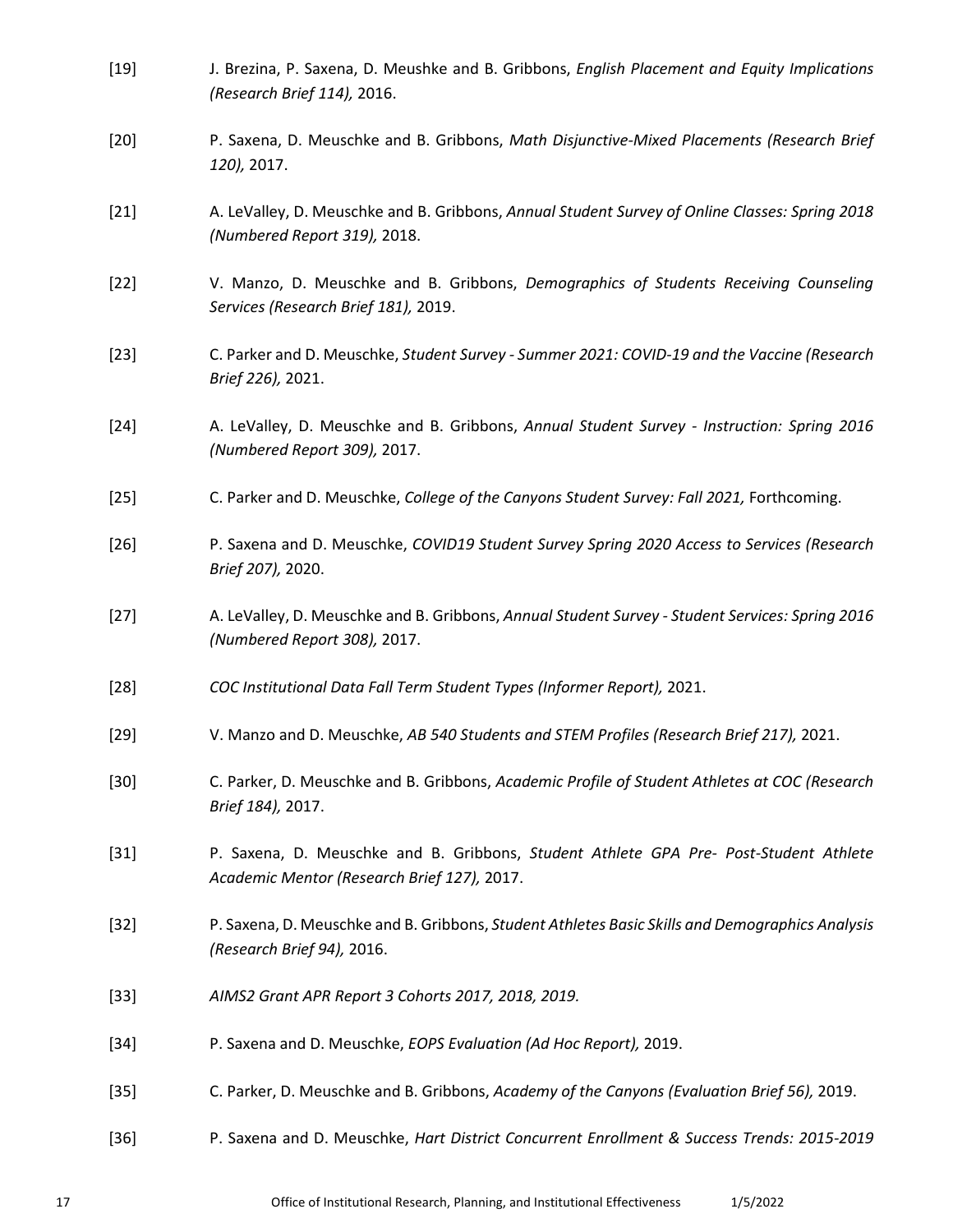<span id="page-16-0"></span>

| $[19]$ | J. Brezina, P. Saxena, D. Meushke and B. Gribbons, English Placement and Equity Implications<br>(Research Brief 114), 2016.          |
|--------|--------------------------------------------------------------------------------------------------------------------------------------|
| $[20]$ | P. Saxena, D. Meuschke and B. Gribbons, Math Disjunctive-Mixed Placements (Research Brief<br>120), 2017.                             |
| $[21]$ | A. LeValley, D. Meuschke and B. Gribbons, Annual Student Survey of Online Classes: Spring 2018<br>(Numbered Report 319), 2018.       |
| $[22]$ | V. Manzo, D. Meuschke and B. Gribbons, Demographics of Students Receiving Counseling<br>Services (Research Brief 181), 2019.         |
| $[23]$ | C. Parker and D. Meuschke, Student Survey - Summer 2021: COVID-19 and the Vaccine (Research<br>Brief 226), 2021.                     |
| $[24]$ | A. LeValley, D. Meuschke and B. Gribbons, Annual Student Survey - Instruction: Spring 2016<br>(Numbered Report 309), 2017.           |
| $[25]$ | C. Parker and D. Meuschke, College of the Canyons Student Survey: Fall 2021, Forthcoming.                                            |
| $[26]$ | P. Saxena and D. Meuschke, COVID19 Student Survey Spring 2020 Access to Services (Research<br>Brief 207), 2020.                      |
| $[27]$ | A. LeValley, D. Meuschke and B. Gribbons, Annual Student Survey - Student Services: Spring 2016<br>(Numbered Report 308), 2017.      |
| $[28]$ | COC Institutional Data Fall Term Student Types (Informer Report), 2021.                                                              |
| $[29]$ | V. Manzo and D. Meuschke, AB 540 Students and STEM Profiles (Research Brief 217), 2021.                                              |
| $[30]$ | C. Parker, D. Meuschke and B. Gribbons, Academic Profile of Student Athletes at COC (Research<br>Brief 184), 2017.                   |
| $[31]$ | P. Saxena, D. Meuschke and B. Gribbons, Student Athlete GPA Pre- Post-Student Athlete<br>Academic Mentor (Research Brief 127), 2017. |
| $[32]$ | P. Saxena, D. Meuschke and B. Gribbons, Student Athletes Basic Skills and Demographics Analysis<br>(Research Brief 94), 2016.        |
| $[33]$ | AIMS2 Grant APR Report 3 Cohorts 2017, 2018, 2019.                                                                                   |
| $[34]$ | P. Saxena and D. Meuschke, EOPS Evaluation (Ad Hoc Report), 2019.                                                                    |
| $[35]$ | C. Parker, D. Meuschke and B. Gribbons, Academy of the Canyons (Evaluation Brief 56), 2019.                                          |
| $[36]$ | P. Saxena and D. Meuschke, Hart District Concurrent Enrollment & Success Trends: 2015-2019                                           |